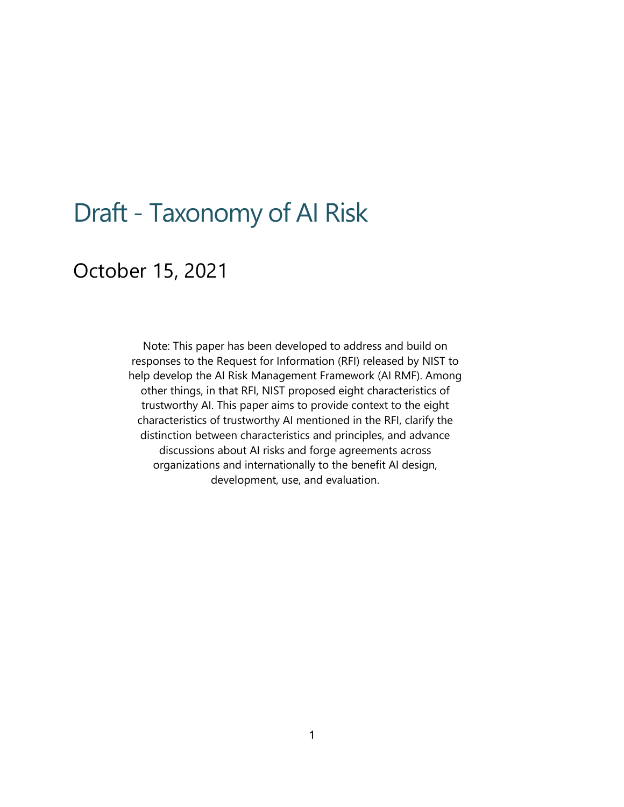# Draft - Taxonomy of AI Risk

## October 15, 2021

 responses to the Request for Information (RFI) released by NIST to help develop the AI Risk Management Framework (AI RMF). Among other things, in that RFI, NIST proposed eight characteristics of trustworthy AI. This paper aims to provide context to the eight characteristics of trustworthy AI mentioned in the RFI, clarify the discussions about AI risks and forge agreements across organizations and internationally to the benefit AI design, Note: This paper has been developed to address and build on distinction between characteristics and principles, and advance development, use, and evaluation.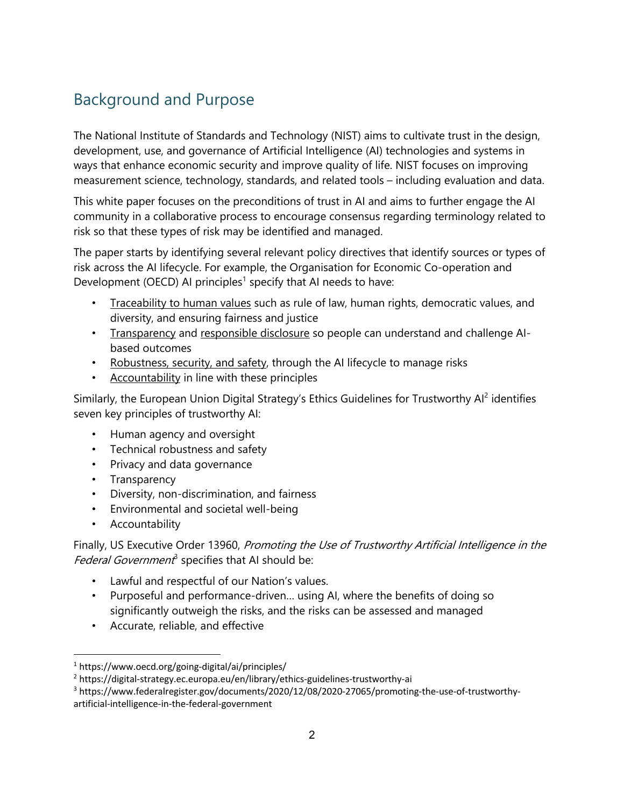### Background and Purpose

 The National Institute of Standards and Technology (NIST) aims to cultivate trust in the design, development, use, and governance of Artificial Intelligence (AI) technologies and systems in ways that enhance economic security and improve quality of life. NIST focuses on improving measurement science, technology, standards, and related tools – including evaluation and data.

 This white paper focuses on the preconditions of trust in AI and aims to further engage the AI community in a collaborative process to encourage consensus regarding terminology related to risk so that these types of risk may be identified and managed.

 The paper starts by identifying several relevant policy directives that identify sources or types of risk across the AI lifecycle. For example, the Organisation for Economic Co-operation and Development (OECD) AI principles<sup>1</sup> specify that AI needs to have:

- Traceability to human values such as rule of law, human rights, democratic values, and diversity, and ensuring fairness and justice
- Transparency and responsible disclosure so people can understand and challenge AIbased outcomes
- Robustness, security, and safety, through the AI lifecycle to manage risks
- Accountability in line with these principles

Similarly, the European Union Digital Strategy's Ethics Guidelines for Trustworthy Al<sup>2</sup> identifies seven key principles of trustworthy AI:

- Human agency and oversight
- Technical robustness and safety
- Privacy and data governance
- Transparency
- Diversity, non-discrimination, and fairness
- Environmental and societal well-being
- Accountability

Finally, US Executive Order 13960, Promoting the Use of Trustworthy Artificial Intelligence in the Federal Government<sup>3</sup> specifies that AI should be:

- Lawful and respectful of our Nation's values.
- • Purposeful and performance-driven… using AI, where the benefits of doing so significantly outweigh the risks, and the risks can be assessed and managed
- Accurate, reliable, and effective

<sup>&</sup>lt;sup>1</sup> <https://www.oecd.org/going-digital/ai/principles>/<br><sup>2</sup> <https://digital-strategy.ec.europa.eu/en/library/ethics-guidelines-trustworthy-ai><br><sup>3</sup> https://www.federalregister.gov/documents/2020/12/08/2020-27065/promoting-the artificial-intelligence-in-the-federal-government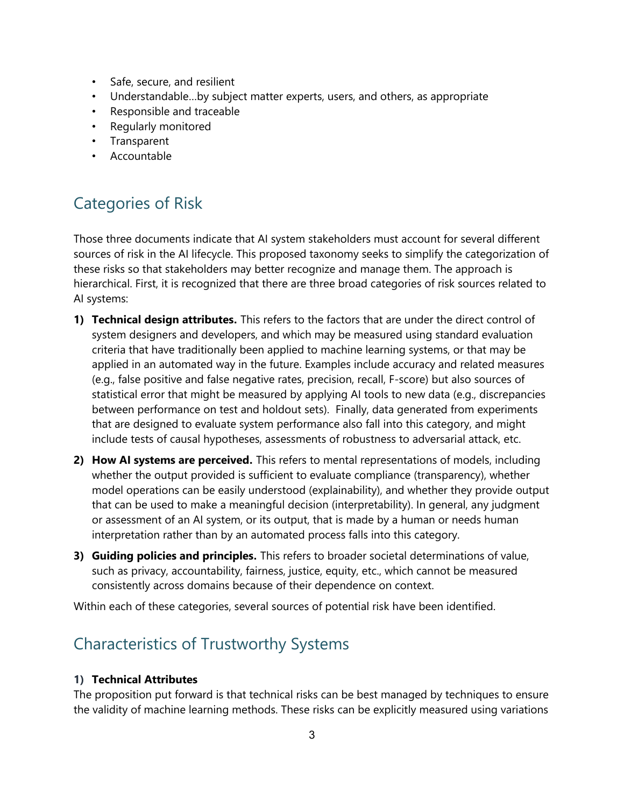- Safe, secure, and resilient
- Understandable…by subject matter experts, users, and others, as appropriate
- Responsible and traceable
- Regularly monitored
- Transparent
- Accountable

### Categories of Risk

 sources of risk in the AI lifecycle. This proposed taxonomy seeks to simplify the categorization of hierarchical. First, it is recognized that there are three broad categories of risk sources related to Those three documents indicate that AI system stakeholders must account for several different these risks so that stakeholders may better recognize and manage them. The approach is AI systems:

- **1) Technical design attributes.** This refers to the factors that are under the direct control of between performance on test and holdout sets). Finally, data generated from experiments include tests of causal hypotheses, assessments of robustness to adversarial attack, etc. system designers and developers, and which may be measured using standard evaluation criteria that have traditionally been applied to machine learning systems, or that may be applied in an automated way in the future. Examples include accuracy and related measures (e.g., false positive and false negative rates, precision, recall, F-score) but also sources of statistical error that might be measured by applying AI tools to new data (e.g., discrepancies that are designed to evaluate system performance also fall into this category, and might
- **2) How AI systems are perceived.** This refers to mental representations of models, including whether the output provided is sufficient to evaluate compliance (transparency), whether model operations can be easily understood (explainability), and whether they provide output or assessment of an AI system, or its output, that is made by a human or needs human interpretation rather than by an automated process falls into this category. that can be used to make a meaningful decision (interpretability). In general, any judgment
- **3) Guiding policies and principles.** This refers to broader societal determinations of value, consistently across domains because of their dependence on context. such as privacy, accountability, fairness, justice, equity, etc., which cannot be measured

Within each of these categories, several sources of potential risk have been identified.

### Characteristics of Trustworthy Systems

#### **1) Technical Attributes**

The proposition put forward is that technical risks can be best managed by techniques to ensure the validity of machine learning methods. These risks can be explicitly measured using variations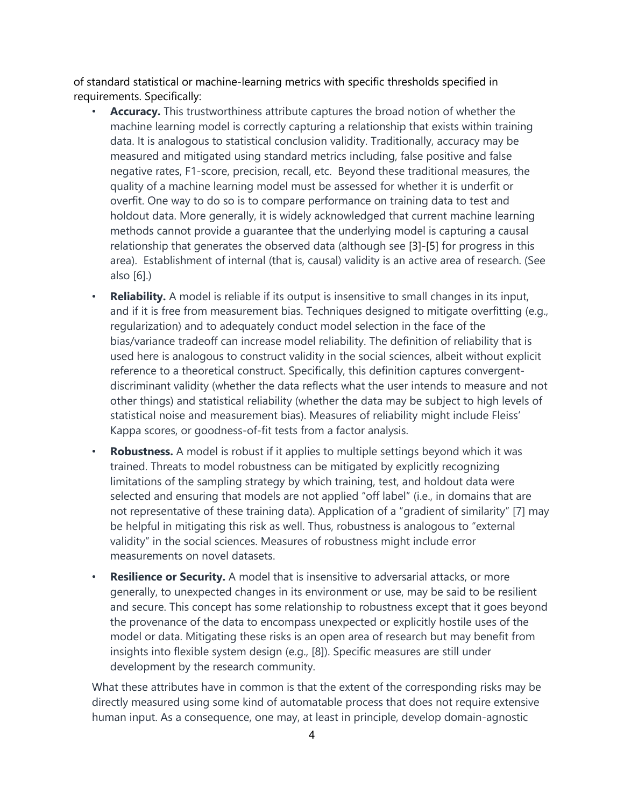of standard statistical or machine-learning metrics with specific thresholds specified in requirements. Specifically:

- machine learning model is correctly capturing a relationship that exists within training data. It is analogous to statistical conclusion validity. Traditionally, accuracy may be measured and mitigated using standard metrics including, false positive and false quality of a machine learning model must be assessed for whether it is underfit or holdout data. More generally, it is widely acknowledged that current machine learning methods cannot provide a guarantee that the underlying model is capturing a causal relationship that generates the observed data (although see [3]-[5] for progress in this area). Establishment of internal (that is, causal) validity is an active area of research. (See • **Accuracy.** This trustworthiness attribute captures the broad notion of whether the negative rates, F1-score, precision, recall, etc. Beyond these traditional measures, the overfit. One way to do so is to compare performance on training data to test and also [6].)
- • **Reliability.** A model is reliable if its output is insensitive to small changes in its input, and if it is free from measurement bias. Techniques designed to mitigate overfitting (e.g., regularization) and to adequately conduct model selection in the face of the bias/variance tradeoff can increase model reliability. The definition of reliability that is used here is analogous to construct validity in the social sciences, albeit without explicit reference to a theoretical construct. Specifically, this definition captures convergent- discriminant validity (whether the data reflects what the user intends to measure and not other things) and statistical reliability (whether the data may be subject to high levels of statistical noise and measurement bias). Measures of reliability might include Fleiss' Kappa scores, or goodness-of-fit tests from a factor analysis.
- • **Robustness.** A model is robust if it applies to multiple settings beyond which it was be helpful in mitigating this risk as well. Thus, robustness is analogous to "external validity" in the social sciences. Measures of robustness might include error measurements on novel datasets. trained. Threats to model robustness can be mitigated by explicitly recognizing limitations of the sampling strategy by which training, test, and holdout data were selected and ensuring that models are not applied "off label" (i.e., in domains that are not representative of these training data). Application of a "gradient of similarity" [7] may
- • **Resilience or Security.** A model that is insensitive to adversarial attacks, or more generally, to unexpected changes in its environment or use, may be said to be resilient and secure. This concept has some relationship to robustness except that it goes beyond the provenance of the data to encompass unexpected or explicitly hostile uses of the model or data. Mitigating these risks is an open area of research but may benefit from insights into flexible system design (e.g., [8]). Specific measures are still under development by the research community.

 What these attributes have in common is that the extent of the corresponding risks may be directly measured using some kind of automatable process that does not require extensive human input. As a consequence, one may, at least in principle, develop domain-agnostic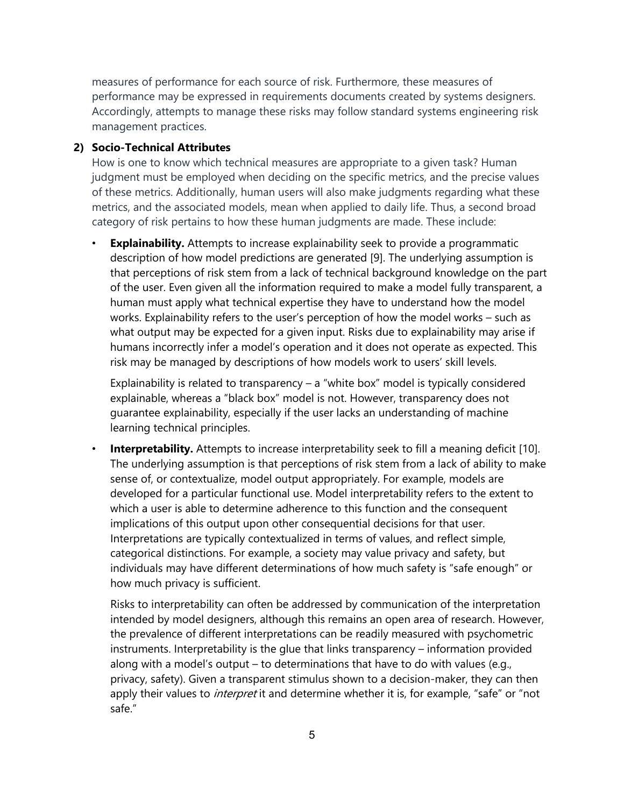measures of performance for each source of risk. Furthermore, these measures of performance may be expressed in requirements documents created by systems designers. management practices. Accordingly, attempts to manage these risks may follow standard systems engineering risk

#### **2) Socio-Technical Attributes**

 of these metrics. Additionally, human users will also make judgments regarding what these metrics, and the associated models, mean when applied to daily life. Thus, a second broad category of risk pertains to how these human judgments are made. These include: How is one to know which technical measures are appropriate to a given task? Human judgment must be employed when deciding on the specific metrics, and the precise values

 description of how model predictions are generated [9]. The underlying assumption is human must apply what technical expertise they have to understand how the model works. Explainability refers to the user's perception of how the model works – such as humans incorrectly infer a model's operation and it does not operate as expected. This risk may be managed by descriptions of how models work to users' skill levels. **Explainability.** Attempts to increase explainability seek to provide a programmatic that perceptions of risk stem from a lack of technical background knowledge on the part of the user. Even given all the information required to make a model fully transparent, a what output may be expected for a given input. Risks due to explainability may arise if

 Explainability is related to transparency – a "white box" model is typically considered explainable, whereas a "black box" model is not. However, transparency does not guarantee explainability, especially if the user lacks an understanding of machine learning technical principles.

 The underlying assumption is that perceptions of risk stem from a lack of ability to make sense of, or contextualize, model output appropriately. For example, models are which a user is able to determine adherence to this function and the consequent implications of this output upon other consequential decisions for that user. how much privacy is sufficient. **Interpretability.** Attempts to increase interpretability seek to fill a meaning deficit [10]. developed for a particular functional use. Model interpretability refers to the extent to Interpretations are typically contextualized in terms of values, and reflect simple, categorical distinctions. For example, a society may value privacy and safety, but individuals may have different determinations of how much safety is "safe enough" or

 along with a model's output – to determinations that have to do with values (e.g., privacy, safety). Given a transparent stimulus shown to a decision-maker, they can then apply their values to *interpret* it and determine whether it is, for example, "safe" or "not Risks to interpretability can often be addressed by communication of the interpretation intended by model designers, although this remains an open area of research. However, the prevalence of different interpretations can be readily measured with psychometric instruments. Interpretability is the glue that links transparency – information provided safe."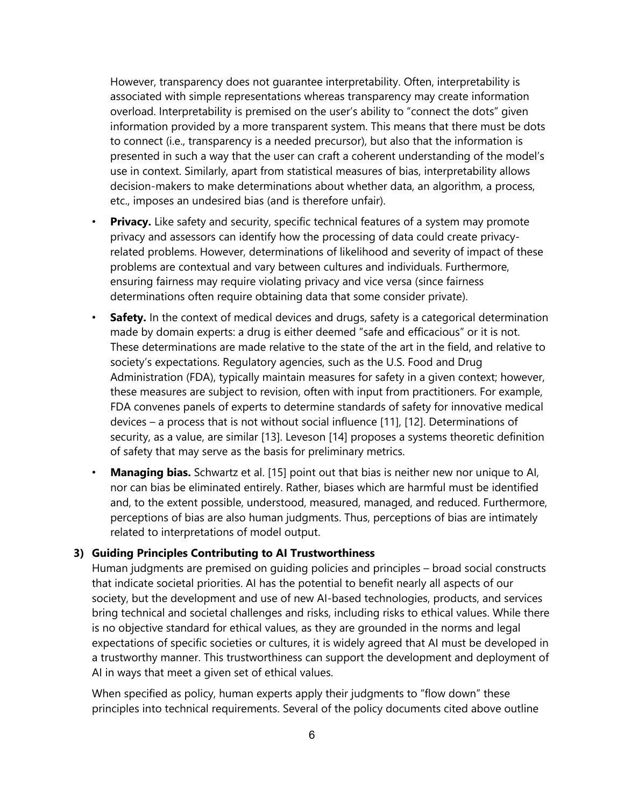However, transparency does not guarantee interpretability. Often, interpretability is associated with simple representations whereas transparency may create information overload. Interpretability is premised on the user's ability to "connect the dots" given information provided by a more transparent system. This means that there must be dots presented in such a way that the user can craft a coherent understanding of the model's use in context. Similarly, apart from statistical measures of bias, interpretability allows decision-makers to make determinations about whether data, an algorithm, a process, etc., imposes an undesired bias (and is therefore unfair). to connect (i.e., transparency is a needed precursor), but also that the information is

- • **Privacy.** Like safety and security, specific technical features of a system may promote related problems. However, determinations of likelihood and severity of impact of these problems are contextual and vary between cultures and individuals. Furthermore, privacy and assessors can identify how the processing of data could create privacyensuring fairness may require violating privacy and vice versa (since fairness determinations often require obtaining data that some consider private).
- made by domain experts: a drug is either deemed "safe and efficacious" or it is not. These determinations are made relative to the state of the art in the field, and relative to society's expectations. Regulatory agencies, such as the U.S. Food and Drug FDA convenes panels of experts to determine standards of safety for innovative medical devices – a process that is not without social influence [11], [12]. Determinations of **Safety.** In the context of medical devices and drugs, safety is a categorical determination Administration (FDA), typically maintain measures for safety in a given context; however, these measures are subject to revision, often with input from practitioners. For example, security, as a value, are similar [13]. Leveson [14] proposes a systems theoretic definition of safety that may serve as the basis for preliminary metrics.
- • **Managing bias.** Schwartz et al. [15] point out that bias is neither new nor unique to AI, nor can bias be eliminated entirely. Rather, biases which are harmful must be identified and, to the extent possible, understood, measured, managed, and reduced. Furthermore, perceptions of bias are also human judgments. Thus, perceptions of bias are intimately related to interpretations of model output.

#### **3) Guiding Principles Contributing to AI Trustworthiness**

 Human judgments are premised on guiding policies and principles – broad social constructs society, but the development and use of new AI-based technologies, products, and services bring technical and societal challenges and risks, including risks to ethical values. While there expectations of specific societies or cultures, it is widely agreed that AI must be developed in a trustworthy manner. This trustworthiness can support the development and deployment of AI in ways that meet a given set of ethical values. that indicate societal priorities. AI has the potential to benefit nearly all aspects of our is no objective standard for ethical values, as they are grounded in the norms and legal

 When specified as policy, human experts apply their judgments to "flow down" these principles into technical requirements. Several of the policy documents cited above outline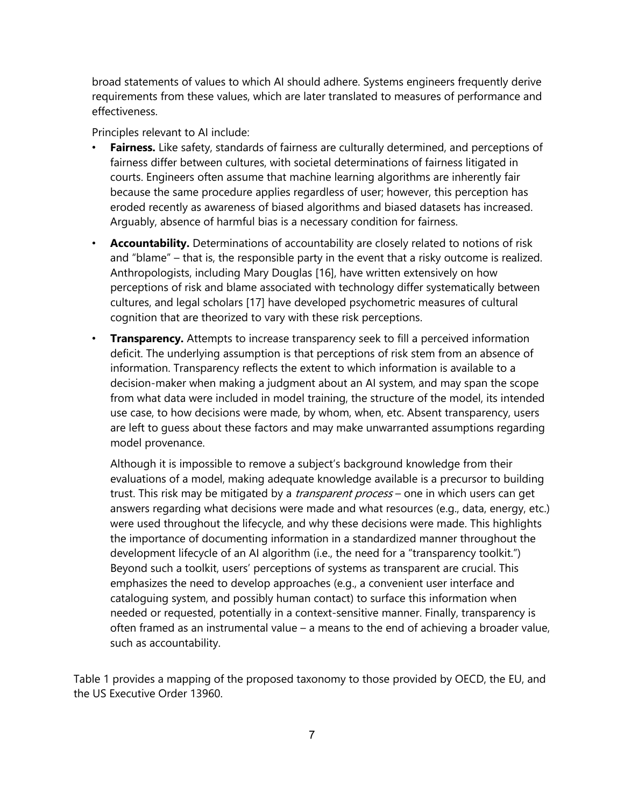broad statements of values to which AI should adhere. Systems engineers frequently derive requirements from these values, which are later translated to measures of performance and effectiveness.

Principles relevant to AI include:

- • **Fairness.** Like safety, standards of fairness are culturally determined, and perceptions of courts. Engineers often assume that machine learning algorithms are inherently fair because the same procedure applies regardless of user; however, this perception has eroded recently as awareness of biased algorithms and biased datasets has increased. Arguably, absence of harmful bias is a necessary condition for fairness. fairness differ between cultures, with societal determinations of fairness litigated in
- • **Accountability.** Determinations of accountability are closely related to notions of risk and "blame" – that is, the responsible party in the event that a risky outcome is realized. Anthropologists, including Mary Douglas [16], have written extensively on how cultures, and legal scholars [17] have developed psychometric measures of cultural perceptions of risk and blame associated with technology differ systematically between cognition that are theorized to vary with these risk perceptions.
- • **Transparency.** Attempts to increase transparency seek to fill a perceived information deficit. The underlying assumption is that perceptions of risk stem from an absence of decision-maker when making a judgment about an AI system, and may span the scope use case, to how decisions were made, by whom, when, etc. Absent transparency, users are left to guess about these factors and may make unwarranted assumptions regarding information. Transparency reflects the extent to which information is available to a from what data were included in model training, the structure of the model, its intended model provenance.

 Although it is impossible to remove a subject's background knowledge from their evaluations of a model, making adequate knowledge available is a precursor to building trust. This risk may be mitigated by a *transparent process* – one in which users can get answers regarding what decisions were made and what resources (e.g., data, energy, etc.) were used throughout the lifecycle, and why these decisions were made. This highlights development lifecycle of an AI algorithm (i.e., the need for a "transparency toolkit.") needed or requested, potentially in a context-sensitive manner. Finally, transparency is often framed as an instrumental value – a means to the end of achieving a broader value, the importance of documenting information in a standardized manner throughout the Beyond such a toolkit, users' perceptions of systems as transparent are crucial. This emphasizes the need to develop approaches (e.g., a convenient user interface and cataloguing system, and possibly human contact) to surface this information when such as accountability.

Table 1 provides a mapping of the proposed taxonomy to those provided by OECD, the EU, and the US Executive Order 13960.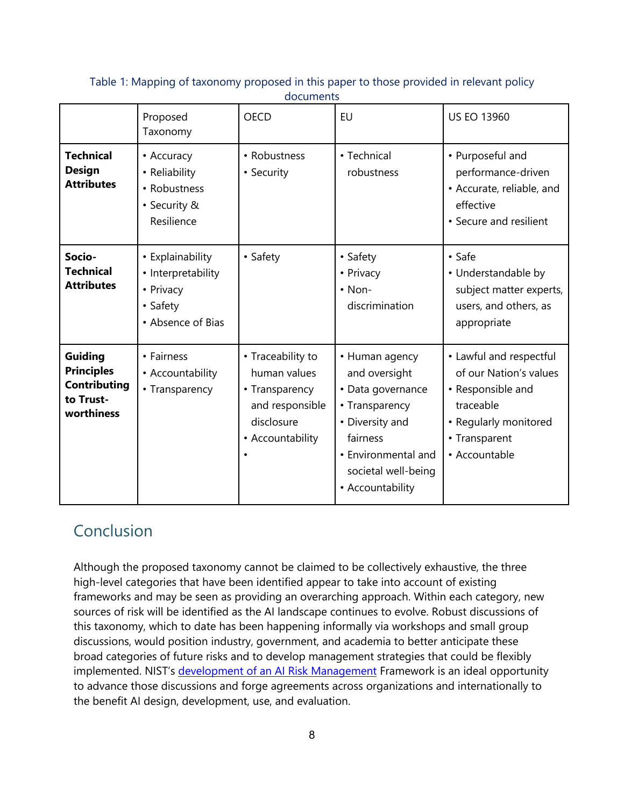|                                                                                | Proposed<br>Taxonomy                                                                 | <b>OECD</b>                                                                                              | <b>EU</b>                                                                                                                                                               | <b>US EO 13960</b>                                                                                                                             |
|--------------------------------------------------------------------------------|--------------------------------------------------------------------------------------|----------------------------------------------------------------------------------------------------------|-------------------------------------------------------------------------------------------------------------------------------------------------------------------------|------------------------------------------------------------------------------------------------------------------------------------------------|
| <b>Technical</b><br><b>Design</b><br><b>Attributes</b>                         | • Accuracy<br>• Reliability<br>• Robustness<br>• Security &<br>Resilience            | • Robustness<br>• Security                                                                               | • Technical<br>robustness                                                                                                                                               | • Purposeful and<br>performance-driven<br>• Accurate, reliable, and<br>effective<br>• Secure and resilient                                     |
| Socio-<br><b>Technical</b><br><b>Attributes</b>                                | • Explainability<br>• Interpretability<br>• Privacy<br>• Safety<br>• Absence of Bias | • Safety                                                                                                 | • Safety<br>• Privacy<br>$\cdot$ Non-<br>discrimination                                                                                                                 | • Safe<br>• Understandable by<br>subject matter experts,<br>users, and others, as<br>appropriate                                               |
| Guiding<br><b>Principles</b><br><b>Contributing</b><br>to Trust-<br>worthiness | • Fairness<br>• Accountability<br>• Transparency                                     | • Traceability to<br>human values<br>• Transparency<br>and responsible<br>disclosure<br>• Accountability | • Human agency<br>and oversight<br>• Data governance<br>• Transparency<br>• Diversity and<br>fairness<br>• Environmental and<br>societal well-being<br>• Accountability | • Lawful and respectful<br>of our Nation's values<br>• Responsible and<br>traceable<br>• Regularly monitored<br>• Transparent<br>• Accountable |

 Table 1: Mapping of taxonomy proposed in this paper to those provided in relevant policy documents

### Conclusion

 sources of risk will be identified as the AI landscape continues to evolve. Robust discussions of this taxonomy, which to date has been happening informally via workshops and small group discussions, would position industry, government, and academia to better anticipate these broad categories of future risks and to develop management strategies that could be flexibly implemented. NIST's development of an AI Risk Management Framework is an ideal opportunity Although the proposed taxonomy cannot be claimed to be collectively exhaustive, the three high-level categories that have been identified appear to take into account of existing frameworks and may be seen as providing an overarching approach. Within each category, new to advance those discussions and forge agreements across organizations and internationally to the benefit AI design, development, use, and evaluation.